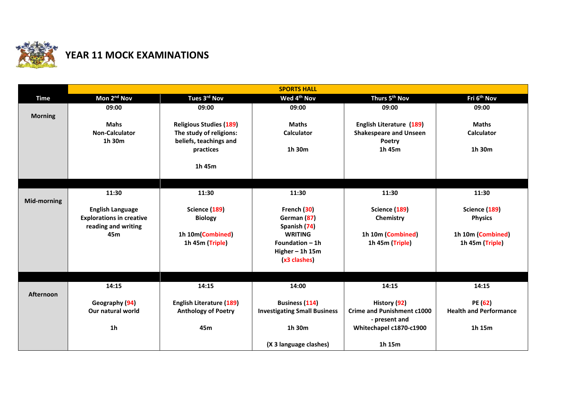

## **YEAR 11 MOCK EXAMINATIONS**

|                    | <b>SPORTS HALL</b>                                         |                                                   |                                     |                                         |                                 |  |  |
|--------------------|------------------------------------------------------------|---------------------------------------------------|-------------------------------------|-----------------------------------------|---------------------------------|--|--|
| <b>Time</b>        | Mon 2 <sup>nd</sup> Nov                                    | Tues 3rd Nov                                      | Wed 4 <sup>th</sup> Nov             | Thurs 5 <sup>th</sup> Nov               | Fri 6 <sup>th</sup> Nov         |  |  |
| <b>Morning</b>     | 09:00                                                      | 09:00                                             | 09:00                               | 09:00                                   | 09:00                           |  |  |
|                    | <b>Mahs</b>                                                | <b>Religious Studies (189)</b>                    | <b>Maths</b>                        | English Literature (189)                | <b>Maths</b>                    |  |  |
|                    | <b>Non-Calculator</b><br>1h 30m                            | The study of religions:<br>beliefs, teachings and | <b>Calculator</b>                   | <b>Shakespeare and Unseen</b><br>Poetry | <b>Calculator</b>               |  |  |
|                    |                                                            | practices                                         | 1h 30m                              | 1h 45m                                  | 1h 30m                          |  |  |
|                    |                                                            | 1h 45m                                            |                                     |                                         |                                 |  |  |
|                    |                                                            |                                                   |                                     |                                         |                                 |  |  |
|                    | 11:30                                                      | 11:30                                             | 11:30                               | 11:30                                   | 11:30                           |  |  |
| <b>Mid-morning</b> |                                                            |                                                   |                                     |                                         |                                 |  |  |
|                    | <b>English Language</b><br><b>Explorations in creative</b> | Science (189)<br><b>Biology</b>                   | French (30)<br>German (87)          | Science (189)<br>Chemistry              | Science (189)<br><b>Physics</b> |  |  |
|                    | reading and writing                                        |                                                   | Spanish (74)                        |                                         |                                 |  |  |
|                    | 45m                                                        | 1h 10m(Combined)                                  | <b>WRITING</b>                      | 1h 10m (Combined)                       | 1h 10m (Combined)               |  |  |
|                    |                                                            | 1h 45m (Triple)                                   | Foundation $-1h$                    | 1h 45m (Triple)                         | 1h 45m (Triple)                 |  |  |
|                    |                                                            |                                                   | Higher $-$ 1h 15m                   |                                         |                                 |  |  |
|                    |                                                            |                                                   | (x3 clashes)                        |                                         |                                 |  |  |
|                    |                                                            |                                                   |                                     |                                         |                                 |  |  |
|                    | 14:15                                                      | 14:15                                             | 14:00                               | 14:15                                   | 14:15                           |  |  |
| Afternoon          | Geography (94)                                             | <b>English Literature (189)</b>                   | <b>Business (114)</b>               | History (92)                            | PE(62)                          |  |  |
|                    | Our natural world                                          | <b>Anthology of Poetry</b>                        | <b>Investigating Small Business</b> | <b>Crime and Punishment c1000</b>       | <b>Health and Performance</b>   |  |  |
|                    |                                                            |                                                   |                                     | - present and                           |                                 |  |  |
|                    | 1 <sub>h</sub>                                             | 45m                                               | 1h 30m                              | Whitechapel c1870-c1900                 | 1h 15m                          |  |  |
|                    |                                                            |                                                   | (X 3 language clashes)              | 1h 15m                                  |                                 |  |  |